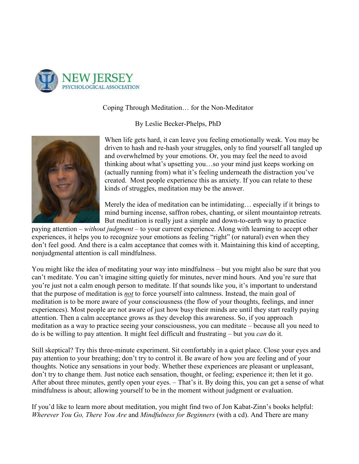

## Coping Through Meditation… for the Non-Meditator

By Leslie Becker-Phelps, PhD



When life gets hard, it can leave you feeling emotionally weak. You may be driven to hash and re-hash your struggles, only to find yourself all tangled up and overwhelmed by your emotions. Or, you may feel the need to avoid thinking about what's upsetting you…so your mind just keeps working on (actually running from) what it's feeling underneath the distraction you've created. Most people experience this as anxiety. If you can relate to these kinds of struggles, meditation may be the answer.

Merely the idea of meditation can be intimidating… especially if it brings to mind burning incense, saffron robes, chanting, or silent mountaintop retreats. But meditation is really just a simple and down-to-earth way to practice

paying attention – *without judgment* – to your current experience. Along with learning to accept other experiences, it helps you to recognize your emotions as feeling "right" (or natural) even when they don't feel good. And there is a calm acceptance that comes with it. Maintaining this kind of accepting, nonjudgmental attention is call mindfulness.

You might like the idea of meditating your way into mindfulness – but you might also be sure that you can't meditate. You can't imagine sitting quietly for minutes, never mind hours. And you're sure that you're just not a calm enough person to meditate. If that sounds like you, it's important to understand that the purpose of meditation is *not* to force yourself into calmness. Instead, the main goal of meditation is to be more aware of your consciousness (the flow of your thoughts, feelings, and inner experiences). Most people are not aware of just how busy their minds are until they start really paying attention. Then a calm acceptance grows as they develop this awareness. So, if you approach meditation as a way to practice seeing your consciousness, you can meditate – because all you need to do is be willing to pay attention. It might feel difficult and frustrating – but you *can* do it.

Still skeptical? Try this three-minute experiment. Sit comfortably in a quiet place. Close your eyes and pay attention to your breathing; don't try to control it. Be aware of how you are feeling and of your thoughts. Notice any sensations in your body. Whether these experiences are pleasant or unpleasant, don't try to change them. Just notice each sensation, thought, or feeling; experience it; then let it go. After about three minutes, gently open your eyes. – That's it. By doing this, you can get a sense of what mindfulness is about; allowing yourself to be in the moment without judgment or evaluation.

If you'd like to learn more about meditation, you might find two of Jon Kabat-Zinn's books helpful: *Wherever You Go, There You Are* and *Mindfulness for Beginners* (with a cd). And There are many